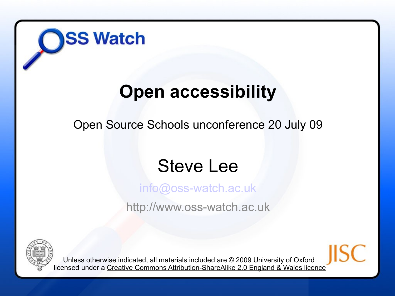

#### **Open accessibility**

Open Source Schools unconference 20 July 09

#### Steve Lee

[info@oss-watch.ac.uk](mailto:ross.gardler@oucs.ox.ac.uk)

http://www.oss-watch.ac.uk



Unless otherwise indicated, all materials included are © 2009 University of Oxford licensed under a Creative Commons Attribution-ShareAlike 2.0 England & Wales licence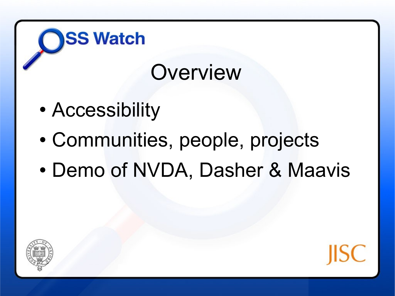## **Overview**

• Accessibility

- Communities, people, projects
- Demo of NVDA, Dasher & Maavis



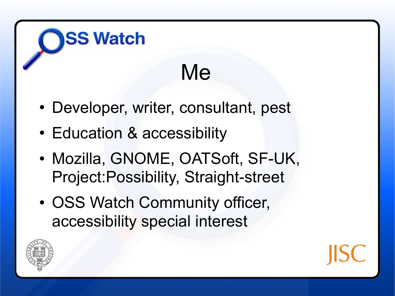## Me

- Developer, writer, consultant, pest
- Education & accessibility

- Mozilla, GNOME, OATSoft, SF-UK, Project:Possibility, Straight-street
- OSS Watch Community officer, accessibility special interest



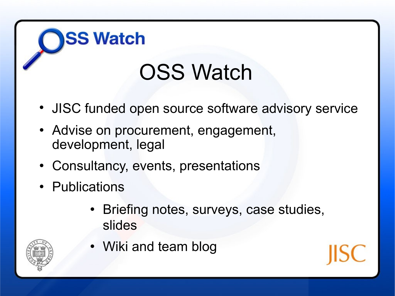## OSS Watch

- JISC funded open source software advisory service
- Advise on procurement, engagement, development, legal
- Consultancy, events, presentations
- Publications

**SS Watch** 

• Briefing notes, surveys, case studies, slides



• Wiki and team blog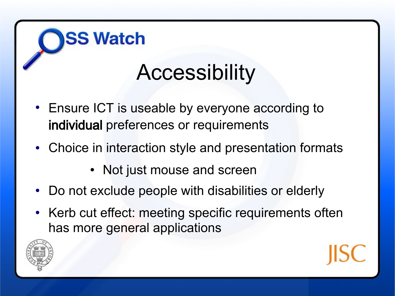## **Accessibility**

• Ensure ICT is useable by everyone according to individual preferences or requirements

- Choice in interaction style and presentation formats
	- Not just mouse and screen
- Do not exclude people with disabilities or elderly
- Kerb cut effect: meeting specific requirements often has more general applications



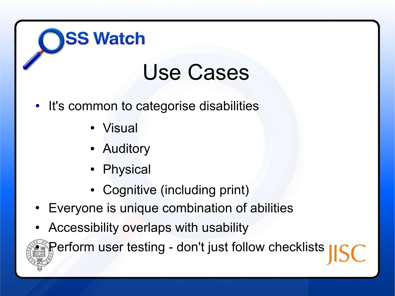#### Use Cases

- It's common to categorise disabilities
	- Visual

**SS Watch** 

- Auditory
- Physical
- Cognitive (including print)
- Everyone is unique combination of abilities
- Accessibility overlaps with usability

Perform user testing - don't just follow checklists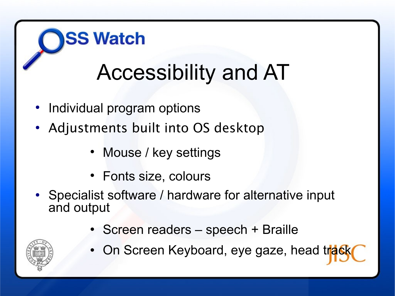# Accessibility and AT

• Individual program options

**SS Watch** 

- Adjustments built into OS desktop
	- Mouse / key settings
	- Fonts size, colours
- Specialist software / hardware for alternative input and output
	- Screen readers speech + Braille



On Screen Keyboard, eye gaze, head track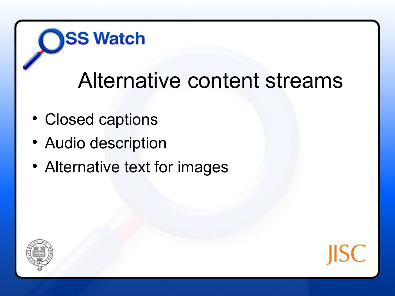#### Alternative content streams

Closed captions

- Audio description
- Alternative text for images



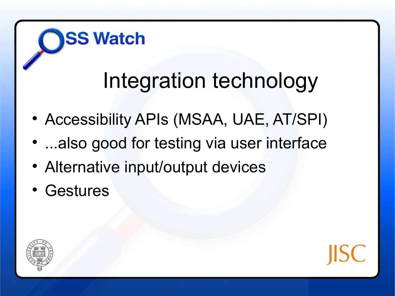#### Integration technology

- Accessibility APIs (MSAA, UAE, AT/SPI)
- ...also good for testing via user interface
- Alternative input/output devices
- Gestures



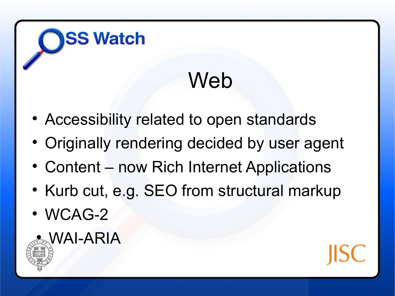## Web

- Accessibility related to open standards
- Originally rendering decided by user agent
- Content now Rich Internet Applications
- Kurb cut, e.g. SEO from structural markup
- WCAG-2



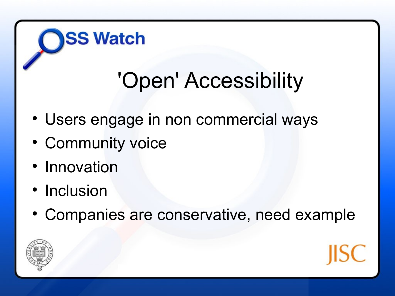## 'Open' Accessibility

- Users engage in non commercial ways
- Community voice

- Innovation
- Inclusion
- Companies are conservative, need example



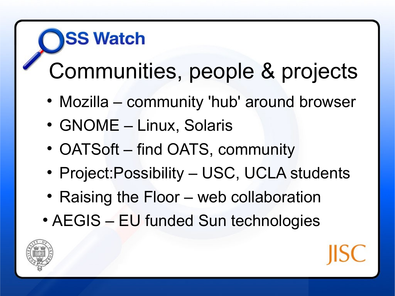# **SS Watch** Communities, people & projects

- Mozilla community 'hub' around browser
- GNOME Linux, Solaris
- OATSoft find OATS, community
- Project: Possibility USC, UCLA students
- Raising the Floor web collaboration
- AEGIS EU funded Sun technologies



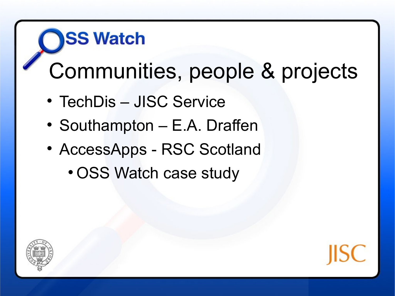# **SS Watch** Communities, people & projects

- TechDis JISC Service
- Southampton E.A. Draffen
- AccessApps RSC Scotland
	- OSS Watch case study



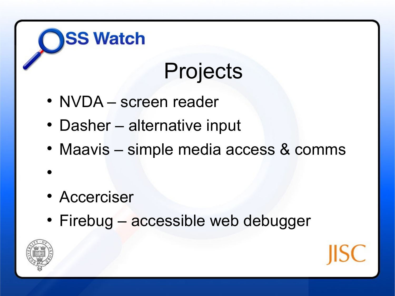## Projects

• NVDA – screen reader

**SS Watch** 

- Dasher alternative input
- Maavis simple media access & comms
- Accerciser
- Firebug accessible web debugger



 $\bullet$ 

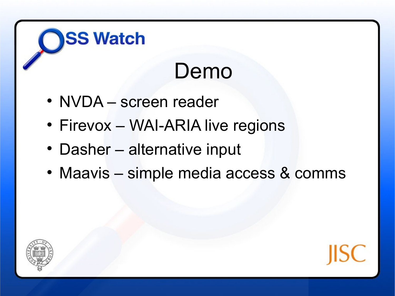## Demo

• NVDA – screen reader

- Firevox WAI-ARIA live regions
- Dasher alternative input
- Maavis simple media access & comms